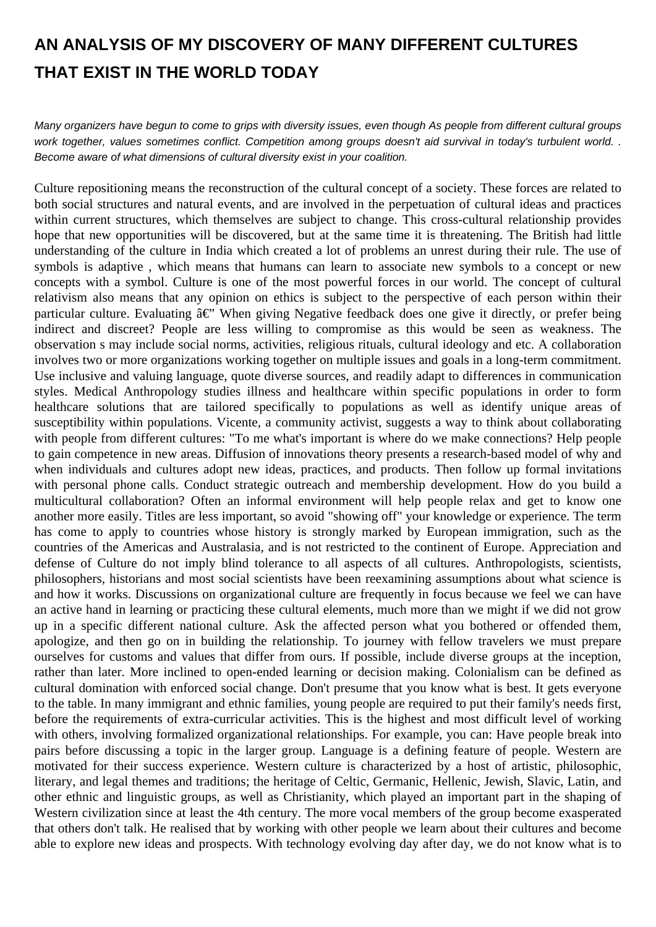## **AN ANALYSIS OF MY DISCOVERY OF MANY DIFFERENT CULTURES THAT EXIST IN THE WORLD TODAY**

Many organizers have begun to come to grips with diversity issues, even though As people from different cultural groups work together, values sometimes conflict. Competition among groups doesn't aid survival in today's turbulent world. . Become aware of what dimensions of cultural diversity exist in your coalition.

Culture repositioning means the reconstruction of the cultural concept of a society. These forces are related to both social structures and natural events, and are involved in the perpetuation of cultural ideas and practices within current structures, which themselves are subject to change. This cross-cultural relationship provides hope that new opportunities will be discovered, but at the same time it is threatening. The British had little understanding of the culture in India which created a lot of problems an unrest during their rule. The use of symbols is adaptive , which means that humans can learn to associate new symbols to a concept or new concepts with a symbol. Culture is one of the most powerful forces in our world. The concept of cultural relativism also means that any opinion on ethics is subject to the perspective of each person within their particular culture. Evaluating  $\hat{a} \in \mathcal{C}$  When giving Negative feedback does one give it directly, or prefer being indirect and discreet? People are less willing to compromise as this would be seen as weakness. The observation s may include social norms, activities, religious rituals, cultural ideology and etc. A collaboration involves two or more organizations working together on multiple issues and goals in a long-term commitment. Use inclusive and valuing language, quote diverse sources, and readily adapt to differences in communication styles. Medical Anthropology studies illness and healthcare within specific populations in order to form healthcare solutions that are tailored specifically to populations as well as identify unique areas of susceptibility within populations. Vicente, a community activist, suggests a way to think about collaborating with people from different cultures: "To me what's important is where do we make connections? Help people to gain competence in new areas. Diffusion of innovations theory presents a research-based model of why and when individuals and cultures adopt new ideas, practices, and products. Then follow up formal invitations with personal phone calls. Conduct strategic outreach and membership development. How do you build a multicultural collaboration? Often an informal environment will help people relax and get to know one another more easily. Titles are less important, so avoid "showing off" your knowledge or experience. The term has come to apply to countries whose history is strongly marked by European immigration, such as the countries of the Americas and Australasia, and is not restricted to the continent of Europe. Appreciation and defense of Culture do not imply blind tolerance to all aspects of all cultures. Anthropologists, scientists, philosophers, historians and most social scientists have been reexamining assumptions about what science is and how it works. Discussions on organizational culture are frequently in focus because we feel we can have an active hand in learning or practicing these cultural elements, much more than we might if we did not grow up in a specific different national culture. Ask the affected person what you bothered or offended them, apologize, and then go on in building the relationship. To journey with fellow travelers we must prepare ourselves for customs and values that differ from ours. If possible, include diverse groups at the inception, rather than later. More inclined to open-ended learning or decision making. Colonialism can be defined as cultural domination with enforced social change. Don't presume that you know what is best. It gets everyone to the table. In many immigrant and ethnic families, young people are required to put their family's needs first, before the requirements of extra-curricular activities. This is the highest and most difficult level of working with others, involving formalized organizational relationships. For example, you can: Have people break into pairs before discussing a topic in the larger group. Language is a defining feature of people. Western are motivated for their success experience. Western culture is characterized by a host of artistic, philosophic, literary, and legal themes and traditions; the heritage of Celtic, Germanic, Hellenic, Jewish, Slavic, Latin, and other ethnic and linguistic groups, as well as Christianity, which played an important part in the shaping of Western civilization since at least the 4th century. The more vocal members of the group become exasperated that others don't talk. He realised that by working with other people we learn about their cultures and become able to explore new ideas and prospects. With technology evolving day after day, we do not know what is to